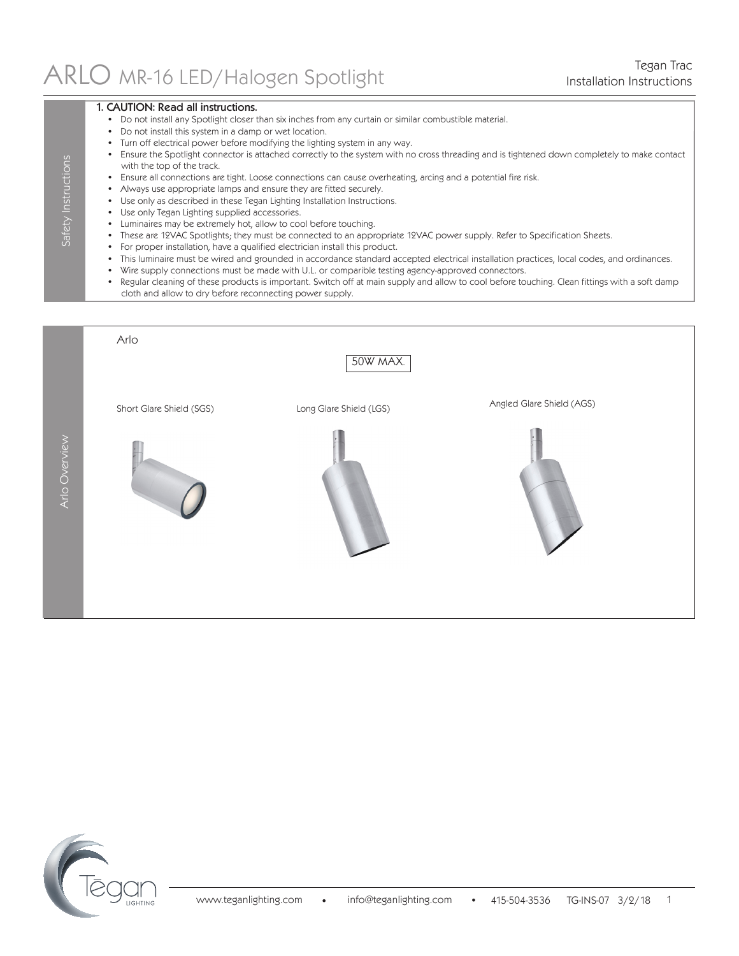# Tegan Trac <br>Installation Instructions (Installation Instructions

### 1. CAUTION: Read all instructions.

Safety Instructions

Safety Instructions

- Do not install any Spotlight closer than six inches from any curtain or similar combustible material.
- Do not install this system in a damp or wet location.
- Turn off electrical power before modifying the lighting system in any way.
- Ensure the Spotlight connector is attached correctly to the system with no cross threading and is tightened down completely to make contact with the top of the track.
- Ensure all connections are tight. Loose connections can cause overheating, arcing and a potential fire risk.
- Always use appropriate lamps and ensure they are fitted securely.
- Use only as described in these Tegan Lighting Installation Instructions.
- Use only Tegan Lighting supplied accessories.
- Luminaires may be extremely hot, allow to cool before touching.
- These are 12VAC Spotlights; they must be connected to an appropriate 12VAC power supply. Refer to Specification Sheets.
- For proper installation, have a qualified electrician install this product.
- This luminaire must be wired and grounded in accordance standard accepted electrical installation practices, local codes, and ordinances.
- Wire supply connections must be made with U.L. or comparible testing agency-approved connectors.
- Regular cleaning of these products is important. Switch off at main supply and allow to cool before touching. Clean fittings with a soft damp cloth and allow to dry before reconnecting power supply.



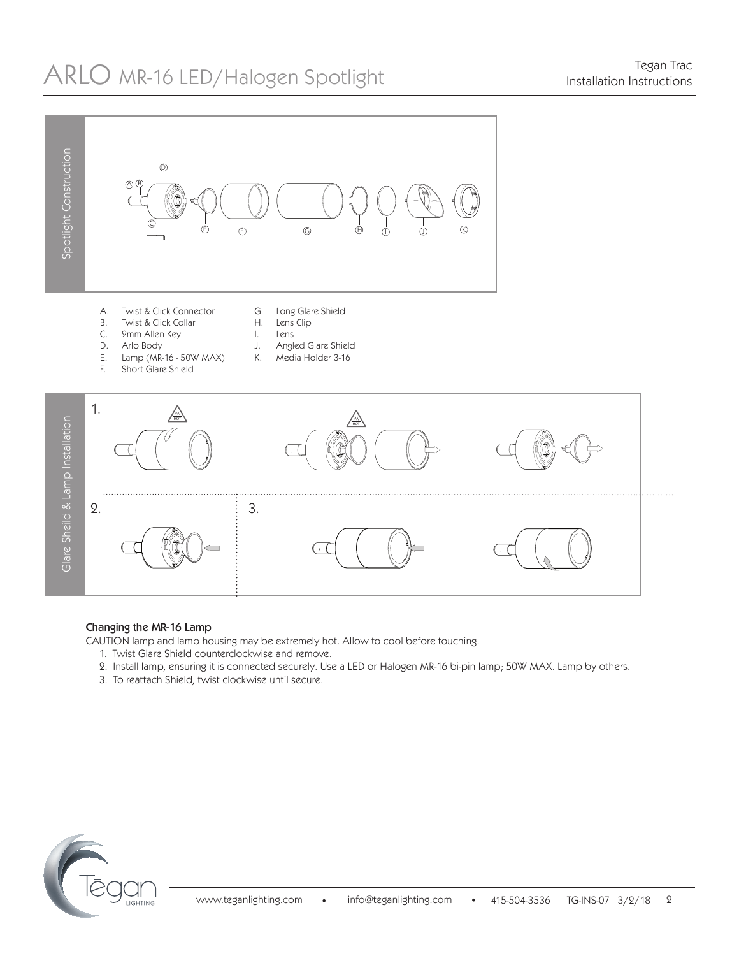# Tegan Trac ARLO MR-16 LED/Halogen Spotlight Installation Instructions



#### Changing the MR-16 Lamp

CAUTION lamp and lamp housing may be extremely hot. Allow to cool before touching.

- 1. Twist Glare Shield counterclockwise and remove.
- 2. Install lamp, ensuring it is connected securely. Use a LED or Halogen MR-16 bi-pin lamp; 50W MAX. Lamp by others.
- 3. To reattach Shield, twist clockwise until secure.